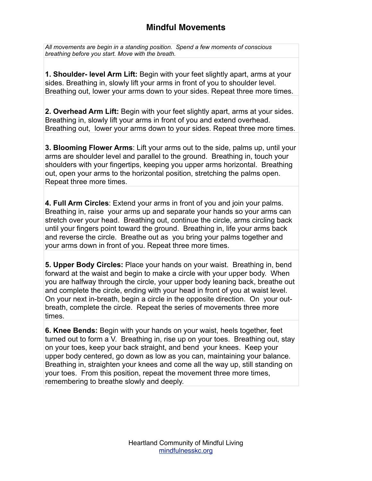## **Mindful Movements**

*All movements are begin in a standing position. Spend a few moments of conscious breathing before you start. Move with the breath.* 

**1. Shoulder- level Arm Lift:** Begin with your feet slightly apart, arms at your sides. Breathing in, slowly lift your arms in front of you to shoulder level. Breathing out, lower your arms down to your sides. Repeat three more times.

**2. Overhead Arm Lift:** Begin with your feet slightly apart, arms at your sides. Breathing in, slowly lift your arms in front of you and extend overhead. Breathing out, lower your arms down to your sides. Repeat three more times.

**3. Blooming Flower Arms**: Lift your arms out to the side, palms up, until your arms are shoulder level and parallel to the ground. Breathing in, touch your shoulders with your fingertips, keeping you upper arms horizontal. Breathing out, open your arms to the horizontal position, stretching the palms open. Repeat three more times.

**4. Full Arm Circles**: Extend your arms in front of you and join your palms. Breathing in, raise your arms up and separate your hands so your arms can stretch over your head. Breathing out, continue the circle, arms circling back until your fingers point toward the ground. Breathing in, life your arms back and reverse the circle. Breathe out as you bring your palms together and your arms down in front of you. Repeat three more times.

**5. Upper Body Circles:** Place your hands on your waist. Breathing in, bend forward at the waist and begin to make a circle with your upper body. When you are halfway through the circle, your upper body leaning back, breathe out and complete the circle, ending with your head in front of you at waist level. On your next in-breath, begin a circle in the opposite direction. On your outbreath, complete the circle. Repeat the series of movements three more times.

**6. Knee Bends:** Begin with your hands on your waist, heels together, feet turned out to form a V. Breathing in, rise up on your toes. Breathing out, stay on your toes, keep your back straight, and bend your knees. Keep your upper body centered, go down as low as you can, maintaining your balance. Breathing in, straighten your knees and come all the way up, still standing on your toes. From this position, repeat the movement three more times, remembering to breathe slowly and deeply.